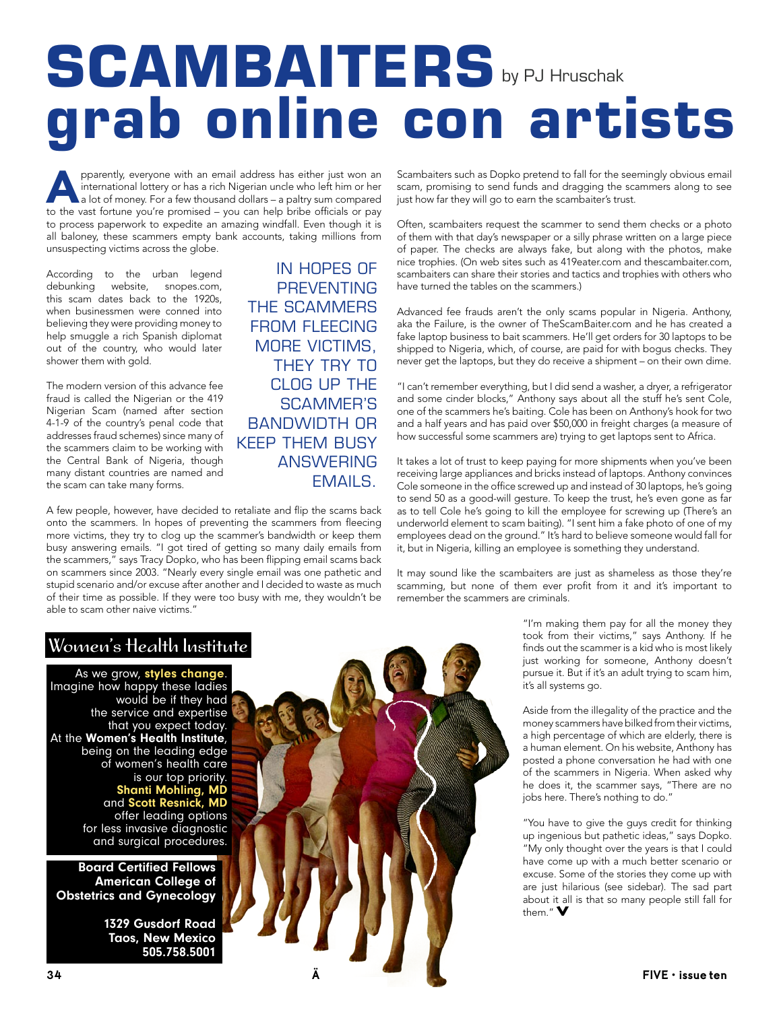# **SCAMBAITERS**  grab online con artists by PJ Hruschak

parently, everyone with an email address has either just won an international lottery or has a rich Nigerian uncle who left him or her a lot of money. For a few thousand dollars – a paltry sum compared international lottery or has a rich Nigerian uncle who left him or her to the vast fortune you're promised – you can help bribe officials or pay to process paperwork to expedite an amazing windfall. Even though it is all baloney, these scammers empty bank accounts, taking millions from unsuspecting victims across the globe.

According to the urban legend debunking website, snopes.com, this scam dates back to the 1920s, when businessmen were conned into believing they were providing money to help smuggle a rich Spanish diplomat out of the country, who would later shower them with gold.

The modern version of this advance fee fraud is called the Nigerian or the 419 Nigerian Scam (named after section 4-1-9 of the country's penal code that addresses fraud schemes) since many of the scammers claim to be working with the Central Bank of Nigeria, though many distant countries are named and the scam can take many forms.

IN HOPES OF **PREVENTING** THE SCAMMERS FROM FLEECING MORE VICTIMS, THEY TRY TO CLOG UP THE SCAMMER'S BANDWIDTH OR KEEP THEM BUSY **ANSWERING** EMAILS.

A few people, however, have decided to retaliate and flip the scams back onto the scammers. In hopes of preventing the scammers from fleecing more victims, they try to clog up the scammer's bandwidth or keep them busy answering emails. "I got tired of getting so many daily emails from the scammers," says Tracy Dopko, who has been flipping email scams back on scammers since 2003. "Nearly every single email was one pathetic and stupid scenario and/or excuse after another and I decided to waste as much of their time as possible. If they were too busy with me, they wouldn't be able to scam other naive victims."

Scambaiters such as Dopko pretend to fall for the seemingly obvious email scam, promising to send funds and dragging the scammers along to see just how far they will go to earn the scambaiter's trust.

Often, scambaiters request the scammer to send them checks or a photo of them with that day's newspaper or a silly phrase written on a large piece of paper. The checks are always fake, but along with the photos, make nice trophies. (On web sites such as 419eater.com and thescambaiter.com, scambaiters can share their stories and tactics and trophies with others who have turned the tables on the scammers.)

Advanced fee frauds aren't the only scams popular in Nigeria. Anthony, aka the Failure, is the owner of TheScamBaiter.com and he has created a fake laptop business to bait scammers. He'll get orders for 30 laptops to be shipped to Nigeria, which, of course, are paid for with bogus checks. They never get the laptops, but they do receive a shipment – on their own dime.

"I can't remember everything, but I did send a washer, a dryer, a refrigerator and some cinder blocks," Anthony says about all the stuff he's sent Cole, one of the scammers he's baiting. Cole has been on Anthony's hook for two and a half years and has paid over \$50,000 in freight charges (a measure of how successful some scammers are) trying to get laptops sent to Africa.

It takes a lot of trust to keep paying for more shipments when you've been receiving large appliances and bricks instead of laptops. Anthony convinces Cole someone in the office screwed up and instead of 30 laptops, he's going to send 50 as a good-will gesture. To keep the trust, he's even gone as far as to tell Cole he's going to kill the employee for screwing up (There's an underworld element to scam baiting). "I sent him a fake photo of one of my employees dead on the ground." It's hard to believe someone would fall for it, but in Nigeria, killing an employee is something they understand.

It may sound like the scambaiters are just as shameless as those they're scamming, but none of them ever profit from it and it's important to remember the scammers are criminals.

### Women's Health Institute

As we grow, **styles change**. Imagine how happy these ladies would be if they had the service and expertise that you expect today. At the **Women's Health Institute**, being on the leading edge of women's health care is our top priority. **Shanti Mohling, MD** and **Scott Resnick, MD** offer leading options for less invasive diagnostic

**Board Certified Fellows American College of Obstetrics and Gynecology** and surgical procedures.

**1329 Gusdorf Road**

**Taos, New Mexico 505.758.5001**



"I'm making them pay for all the money they took from their victims," says Anthony. If he finds out the scammer is a kid who is most likely just working for someone, Anthony doesn't pursue it. But if it's an adult trying to scam him, it's all systems go.

Aside from the illegality of the practice and the money scammers have bilked from their victims, a high percentage of which are elderly, there is a human element. On his website, Anthony has posted a phone conversation he had with one of the scammers in Nigeria. When asked why he does it, the scammer says, "There are no jobs here. There's nothing to do."

"You have to give the guys credit for thinking up ingenious but pathetic ideas," says Dopko. "My only thought over the years is that I could have come up with a much better scenario or excuse. Some of the stories they come up with are just hilarious (see sidebar). The sad part about it all is that so many people still fall for them." **V**